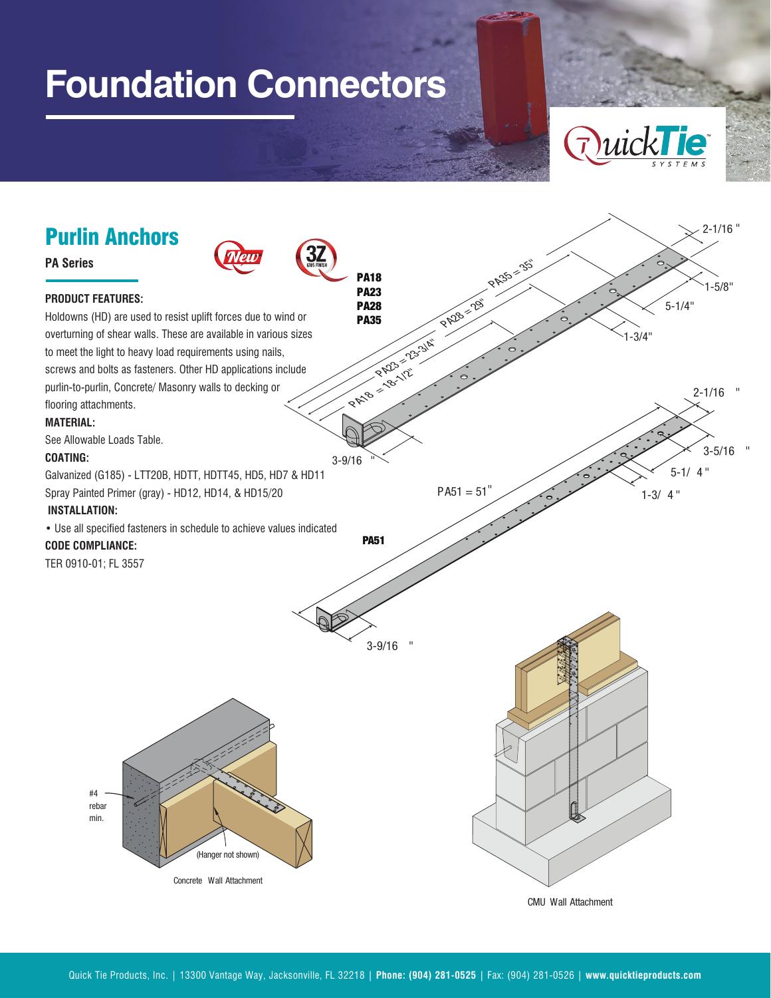## **Foundation Connectors**